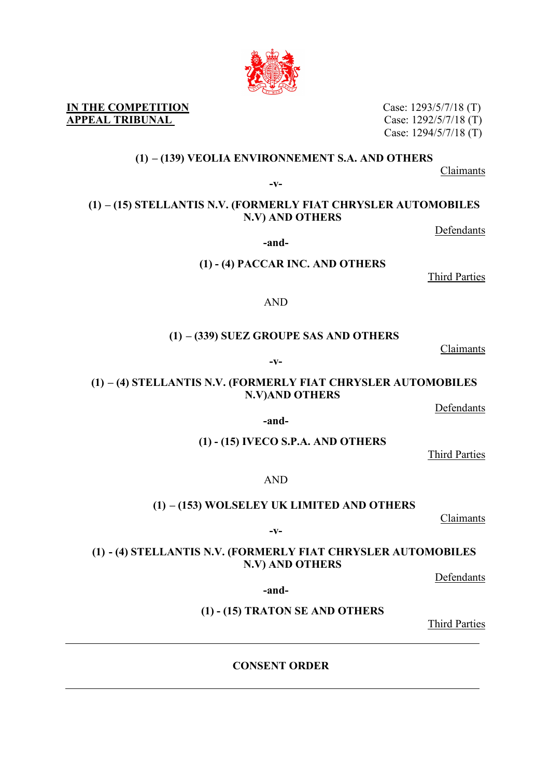# Case: 1292/5/7/18 (T) Case: 1294/5/7/18 (T)

Case: 1293/5/7/18 (T)

**IN THE COMPETITION APPEAL TRIBUNAL** 

#### **(1) – (139) VEOLIA ENVIRONNEMENT S.A. AND OTHERS**

Claimants

**-v-**

#### **(1) – (15) STELLANTIS N.V. (FORMERLY FIAT CHRYSLER AUTOMOBILES N.V) AND OTHERS**

Defendants

**-and-**

**(1) - (4) PACCAR INC. AND OTHERS**

Third Parties

AND

### **(1) – (339) SUEZ GROUPE SAS AND OTHERS**

Claimants

**-v-**

### **(1) – (4) STELLANTIS N.V. (FORMERLY FIAT CHRYSLER AUTOMOBILES N.V)AND OTHERS**

**Defendants** 

#### **-and-**

**(1) - (15) IVECO S.P.A. AND OTHERS**

Third Parties

#### AND

### **(1) – (153) WOLSELEY UK LIMITED AND OTHERS**

Claimants

**-v-**

### **(1) - (4) STELLANTIS N.V. (FORMERLY FIAT CHRYSLER AUTOMOBILES N.V) AND OTHERS**

Defendants

**-and-**

**(1) - (15) TRATON SE AND OTHERS**

Third Parties

# **CONSENT ORDER**